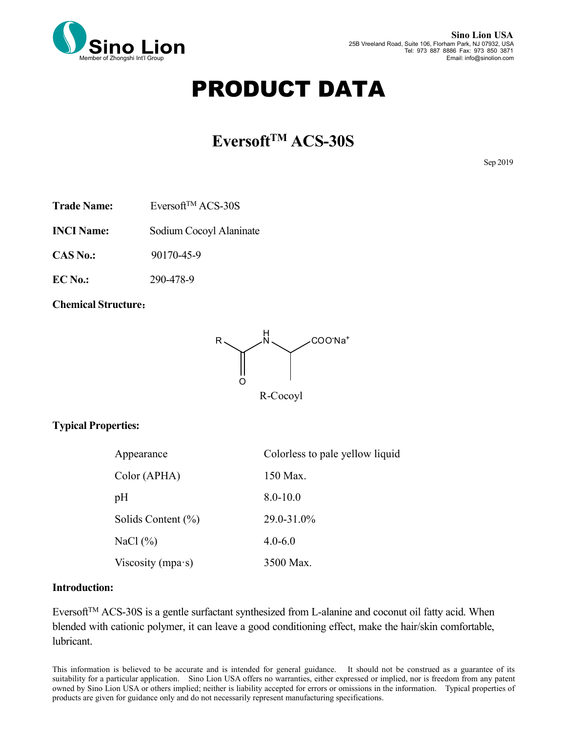

# PRODUCT DATA

# **EversoftTM ACS-30S**

Sep 2019

Trade Name: Eversoft<sup>TM</sup> ACS-30S

**INCI Name:** Sodium Cocoyl Alaninate

**CAS No.:** 90170-45-9

**EC No.:** 290-478-9

**Chemical Structure**:



## **Typical Properties:**

| Appearance                | Colorless to pale yellow liquid |
|---------------------------|---------------------------------|
| Color (APHA)              | 150 Max.                        |
| pH                        | $8.0 - 10.0$                    |
| Solids Content $(\% )$    | 29.0-31.0%                      |
| NaCl $(\% )$              | $4.0 - 6.0$                     |
| Viscosity (mpa $\cdot$ s) | 3500 Max.                       |

#### **Introduction:**

Eversoft<sup>TM</sup> ACS-30S is a gentle surfactant synthesized from L-alanine and coconut oil fatty acid. When blended with cationic polymer, it can leave a good conditioning effect, make the hair/skin comfortable, lubricant.

This information is believed to be accurate and is intended for general guidance. It should not be construed as a guarantee of its suitability for a particular application. Sino Lion USA offers no warranties, either expressed or implied, nor is freedom from any patent owned by Sino Lion USA or others implied; neither is liability accepted for errors oromissions in the information. Typical properties of products are given for guidance only and do not necessarily represent manufacturing specifications.